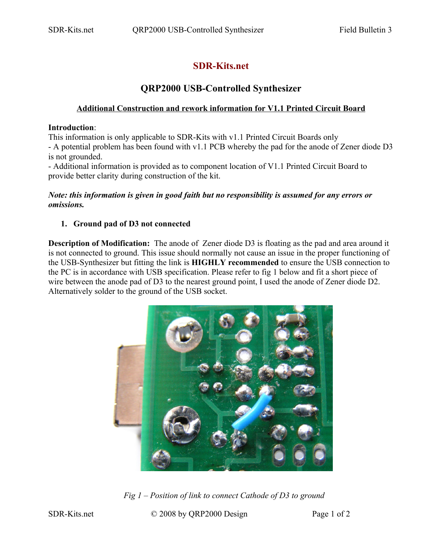# **SDR-Kits.net**

## **QRP2000 USB-Controlled Synthesizer**

### **Additional Construction and rework information for V1.1 Printed Circuit Board**

#### **Introduction**:

This information is only applicable to SDR-Kits with v1.1 Printed Circuit Boards only - A potential problem has been found with v1.1 PCB whereby the pad for the anode of Zener diode D3 is not grounded.

- Additional information is provided as to component location of V1.1 Printed Circuit Board to provide better clarity during construction of the kit.

#### *Note: this information is given in good faith but no responsibility is assumed for any errors or omissions.*

## **1. Ground pad of D3 not connected**

**Description of Modification:** The anode of Zener diode D3 is floating as the pad and area around it is not connected to ground. This issue should normally not cause an issue in the proper functioning of the USB-Synthesizer but fitting the link is **HIGHLY recommended** to ensure the USB connection to the PC is in accordance with USB specification. Please refer to fig 1 below and fit a short piece of wire between the anode pad of D3 to the nearest ground point. I used the anode of Zener diode D2. Alternatively solder to the ground of the USB socket.



*Fig 1 – Position of link to connect Cathode of D3 to ground*

SDR-Kits.net © 2008 by QRP2000 Design Page 1 of 2